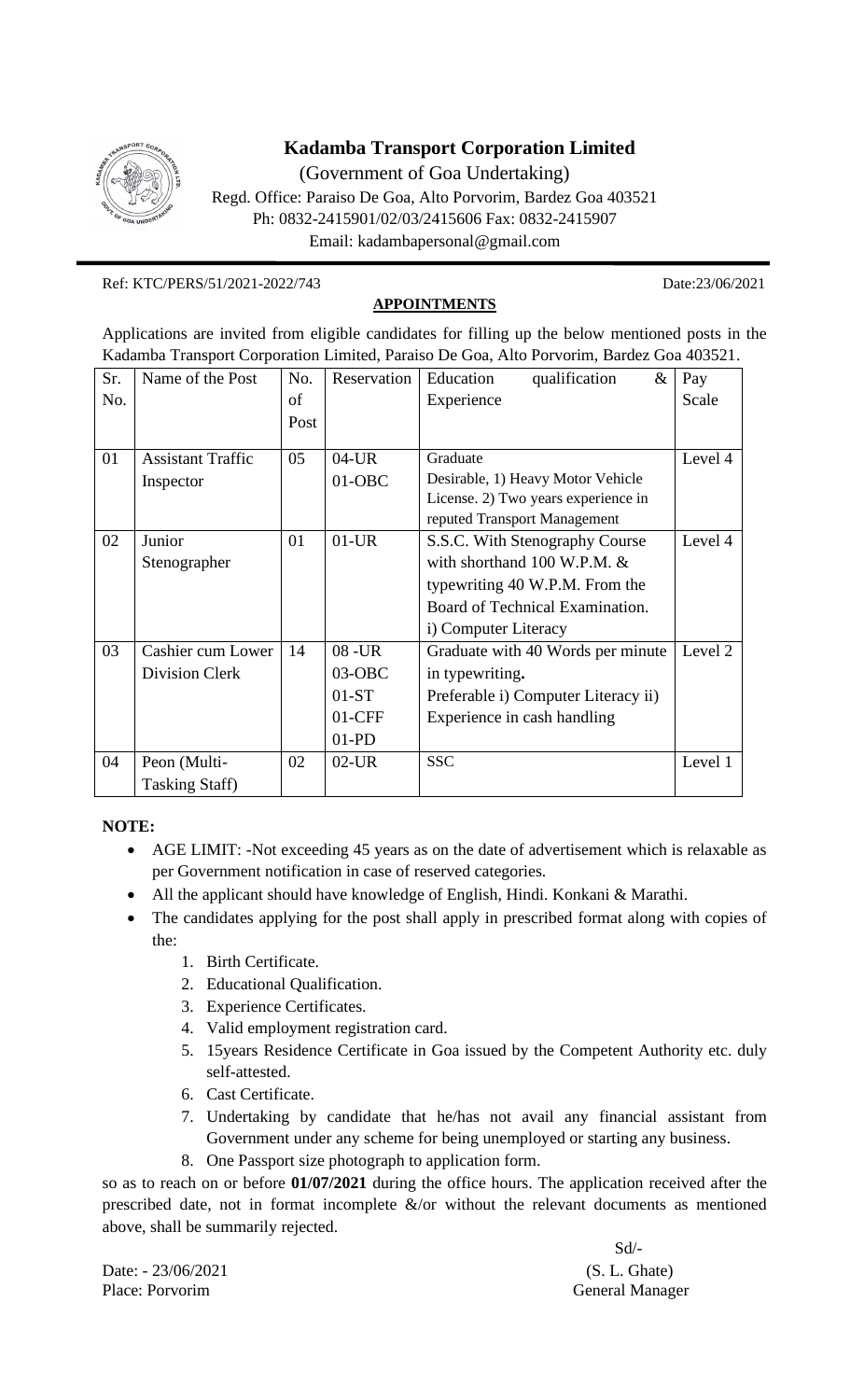

## **Kadamba Transport Corporation Limited**

(Government of Goa Undertaking)

Regd. Office: Paraiso De Goa, Alto Porvorim, Bardez Goa 403521 Ph: 0832-2415901/02/03/2415606 Fax: 0832-2415907 Email: kadambapersonal@gmail.com

Ref: KTC/PERS/51/2021-2022/743 Date:23/06/2021

**APPOINTMENTS**

Applications are invited from eligible candidates for filling up the below mentioned posts in the Kadamba Transport Corporation Limited, Paraiso De Goa, Alto Porvorim, Bardez Goa 403521.

| Sr. | Name of the Post         | No.  | Reservation | Education<br>qualification<br>$\&$    | Pay     |
|-----|--------------------------|------|-------------|---------------------------------------|---------|
| No. |                          | of   |             | Experience                            | Scale   |
|     |                          | Post |             |                                       |         |
|     |                          |      |             |                                       |         |
| 01  | <b>Assistant Traffic</b> | 05   | $04$ -UR    | Graduate                              | Level 4 |
|     | Inspector                |      | $01-OBC$    | Desirable, 1) Heavy Motor Vehicle     |         |
|     |                          |      |             | License. 2) Two years experience in   |         |
|     |                          |      |             | reputed Transport Management          |         |
| 02  | Junior                   | 01   | $01$ -UR    | S.S.C. With Stenography Course        | Level 4 |
|     | Stenographer             |      |             | with shorthand $100 \text{ W.P.M.}$ & |         |
|     |                          |      |             | typewriting 40 W.P.M. From the        |         |
|     |                          |      |             | Board of Technical Examination.       |         |
|     |                          |      |             | i) Computer Literacy                  |         |
| 03  | Cashier cum Lower        | 14   | $08 - UR$   | Graduate with 40 Words per minute     | Level 2 |
|     | Division Clerk           |      | $03-OBC$    | in typewriting.                       |         |
|     |                          |      | $01-ST$     | Preferable i) Computer Literacy ii)   |         |
|     |                          |      | $01$ -CFF   | Experience in cash handling           |         |
|     |                          |      | $01-PD$     |                                       |         |
| 04  | Peon (Multi-             | 02   | $02$ -UR    | <b>SSC</b>                            | Level 1 |
|     | <b>Tasking Staff)</b>    |      |             |                                       |         |

**NOTE:**

- AGE LIMIT: -Not exceeding 45 years as on the date of advertisement which is relaxable as per Government notification in case of reserved categories.
- All the applicant should have knowledge of English, Hindi. Konkani & Marathi.
- The candidates applying for the post shall apply in prescribed format along with copies of the:
	- 1. Birth Certificate.
	- 2. Educational Qualification.
	- 3. Experience Certificates.
	- 4. Valid employment registration card.
	- 5. 15years Residence Certificate in Goa issued by the Competent Authority etc. duly self-attested.
	- 6. Cast Certificate.
	- 7. Undertaking by candidate that he/has not avail any financial assistant from Government under any scheme for being unemployed or starting any business.
	- 8. One Passport size photograph to application form.

so as to reach on or before **01/07/2021** during the office hours. The application received after the prescribed date, not in format incomplete &/or without the relevant documents as mentioned above, shall be summarily rejected.

Date:  $-23/06/2021$  (S. L. Ghate) Place: Porvorim General Manager

Sd/-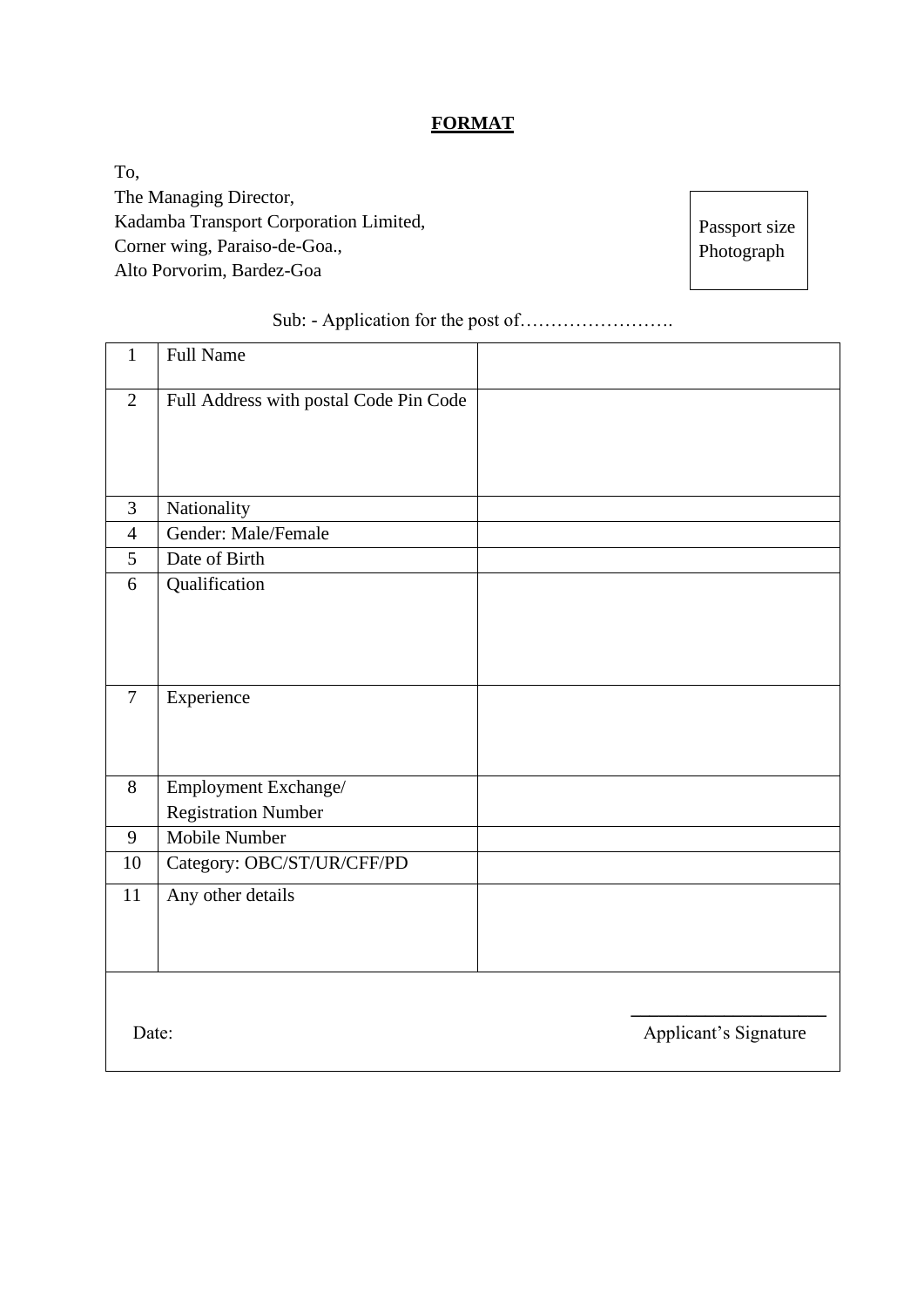## **FORMAT**

To, The Managing Director, Kadamba Transport Corporation Limited, Corner wing, Paraiso-de-Goa., Alto Porvorim, Bardez-Goa

Passport size Photograph

| $\mathbf{1}$   | <b>Full Name</b>                       |                       |
|----------------|----------------------------------------|-----------------------|
| $\overline{2}$ | Full Address with postal Code Pin Code |                       |
| 3              | Nationality                            |                       |
| $\overline{4}$ | Gender: Male/Female                    |                       |
| 5              | Date of Birth                          |                       |
| 6              | Qualification                          |                       |
| $\overline{7}$ | Experience                             |                       |
| 8              | Employment Exchange/                   |                       |
|                | <b>Registration Number</b>             |                       |
| 9              | Mobile Number                          |                       |
| 10             | Category: OBC/ST/UR/CFF/PD             |                       |
| 11             | Any other details                      |                       |
| Date:          |                                        | Applicant's Signature |